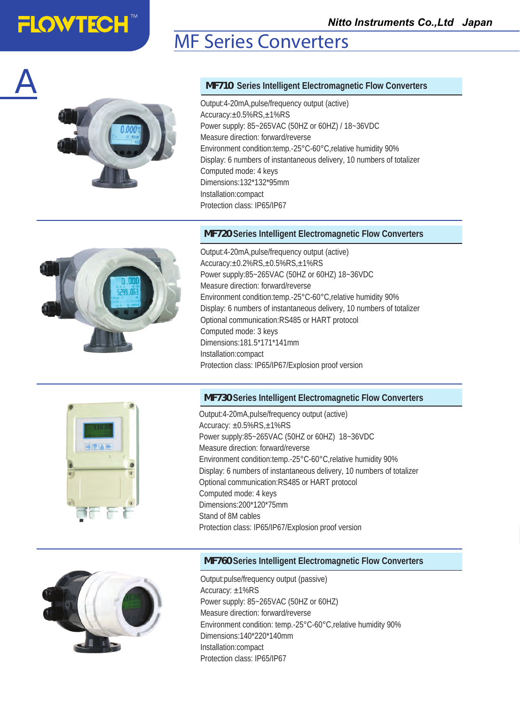## MF Series Converters



**FLOWTECH<sup>®</sup>** 

A

#### *MF710* **Series Intelligent Electromagnetic Flow Converters**

Output:4-20mA,pulse/frequency output (active) Accuracy:±0.5%RS,±1%RS Power supply: 85~265VAC (50HZ or 60HZ) / 18~36VDC Measure direction: forward/reverse Environment condition:temp.-25°C-60°C,relative humidity 90% Display: 6 numbers of instantaneous delivery, 10 numbers of totalizer Computed mode: 4 keys Dimensions:132\*132\*95mm Installation:compact Protection class: IP65/IP67

#### *MF720* **Series Intelligent Electromagnetic Flow Converters**



Output:4-20mA,pulse/frequency output (active) Accuracy:±0.2%RS,±0.5%RS,±1%RS Power supply:85~265VAC (50HZ or 60HZ) 18~36VDC Measure direction: forward/reverse Environment condition:temp.-25°C-60°C,relative humidity 90% Display: 6 numbers of instantaneous delivery, 10 numbers of totalizer Optional communication:RS485 or HART protocol Computed mode: 3 keys Dimensions:181.5\*171\*141mm Installation:compact Protection class: IP65/IP67/Explosion proof version

#### *MF730* **Series Intelligent Electromagnetic Flow Converters**



Output:4-20mA,pulse/frequency output (active) Accuracy: ±0.5%RS,±1%RS Power supply:85~265VAC (50HZ or 60HZ) 18~36VDC Measure direction: forward/reverse Environment condition:temp.-25°C-60°C,relative humidity 90% Display: 6 numbers of instantaneous delivery, 10 numbers of totalizer Optional communication:RS485 or HART protocol Computed mode: 4 keys Dimensions:200\*120\*75mm Stand of 8M cables Protection class: IP65/IP67/Explosion proof version



#### *MF760* **Series Intelligent Electromagnetic Flow Converters**

Output:pulse/frequency output (passive) Accuracy: ±1%RS Power supply: 85~265VAC (50HZ or 60HZ) Measure direction: forward/reverse Environment condition: temp.-25°C-60°C,relative humidity 90% Dimensions:140\*220\*140mm Installation:compact Protection class: IP65/IP67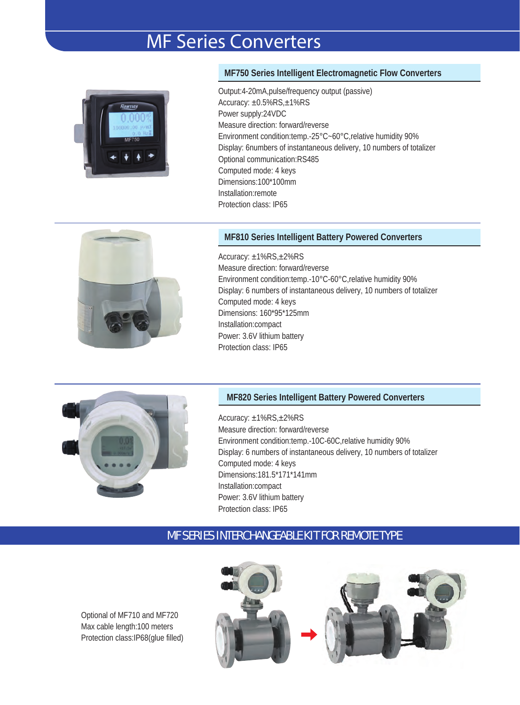## MF Series Converters



#### **MF750 Series Intelligent Electromagnetic Flow Converters**

Output:4-20mA,pulse/frequency output (passive) Accuracy: ±0.5%RS,±1%RS Power supply:24VDC Measure direction: forward/reverse Environment condition:temp.-25°C~60°C,relative humidity 90% Display: 6numbers of instantaneous delivery, 10 numbers of totalizer Optional communication:RS485 Computed mode: 4 keys Dimensions:100\*100mm Installation:remote Protection class: IP65



#### **MF810 Series Intelligent Battery Powered Converters**

Accuracy: ±1%RS,±2%RS Measure direction: forward/reverse Environment condition:temp.-10°C-60°C,relative humidity 90% Display: 6 numbers of instantaneous delivery, 10 numbers of totalizer Computed mode: 4 keys Dimensions: 160\*95\*125mm Installation:compact Power: 3.6V lithium battery Protection class: IP65



#### **MF820 Series Intelligent Battery Powered Converters**

Accuracy: ±1%RS,±2%RS Measure direction: forward/reverse Environment condition:temp.-10C-60C,relative humidity 90% Display: 6 numbers of instantaneous delivery, 10 numbers of totalizer Computed mode: 4 keys Dimensions:181.5\*171\*141mm Installation:compact Power: 3.6V lithium battery Protection class: IP65

#### MF SERIES INTERCHANGEABLE KIT FOR REMOTE TYPE

Optional of MF710 and MF720 Max cable length:100 meters Protection class:IP68(glue filled)

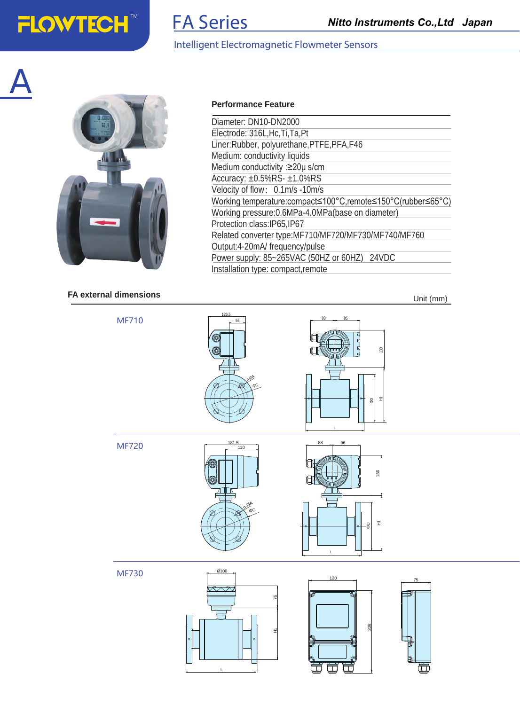## **FLOWTECH™**

A

## FA Series

#### Intelligent Electromagnetic Flowmeter Sensors

**Performance Feature**

Diameter: DN10-DN2000 Electrode: 316L,Hc,Ti,Ta,Pt



#### **FA external dimensions**

Liner:Rubber, polyurethane,PTFE,PFA,F46 Medium: conductivity liquids

Medium conductivity :≥20μ s/cm Accuracy: ±0.5%RS- ±1.0%RS Velocity of flow: 0.1m/s -10m/s Working temperature:compact≤100°C,remote≤150°C(rubber≤65°C) Working pressure:0.6MPa-4.0MPa(base on diameter) Protection class:IP65,IP67 Related converter type:MF710/MF720/MF730/MF740/MF760 Output:4-20mA/ frequency/pulse Power supply: 85~265VAC (50HZ or 60HZ) 24VDC Installation type: compact,remote

Unit (mm)



L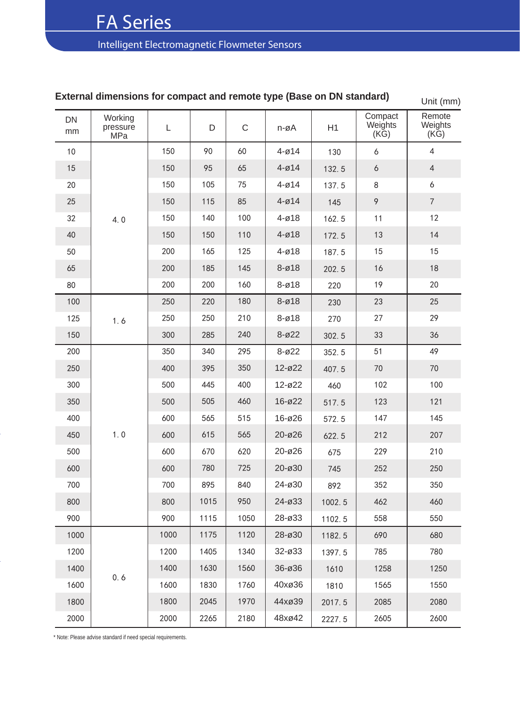### Intelligent Electromagnetic Flowmeter Sensors

|          | annonatona for compact and remote type (Dase on Div standard) |      |      |             |           |        |                                      | Unit (mm)                           |
|----------|---------------------------------------------------------------|------|------|-------------|-----------|--------|--------------------------------------|-------------------------------------|
| DN<br>mm | Working<br>pressure<br>MPa                                    | L    | D    | $\mathsf C$ | n-øA      | H1     | Compact<br>Weights<br>$(K\breve{G})$ | Remote<br>Weights<br>$(K\breve{G})$ |
| $10$     |                                                               | 150  | 90   | 60          | $4 - 014$ | 130    | 6                                    | $\overline{4}$                      |
| 15       |                                                               | 150  | 95   | 65          | $4 - 014$ | 132.5  | 6                                    | $\overline{4}$                      |
| 20       |                                                               | 150  | 105  | 75          | $4 - 014$ | 137.5  | $\,8\,$                              | $\boldsymbol{6}$                    |
| 25       |                                                               | 150  | 115  | 85          | $4 - 014$ | 145    | 9                                    | $\overline{7}$                      |
| 32       | 4.0                                                           | 150  | 140  | 100         | $4 - 018$ | 162.5  | 11                                   | 12                                  |
| 40       |                                                               | 150  | 150  | 110         | $4 - 018$ | 172.5  | 13                                   | 14                                  |
| 50       |                                                               | 200  | 165  | 125         | $4 - 018$ | 187.5  | 15                                   | 15                                  |
| 65       |                                                               | 200  | 185  | 145         | $8 - 018$ | 202.5  | 16                                   | 18                                  |
| 80       |                                                               | 200  | 200  | 160         | $8 - 018$ | 220    | 19                                   | 20                                  |
| 100      |                                                               | 250  | 220  | 180         | $8 - 018$ | 230    | 23                                   | 25                                  |
| 125      | 1.6                                                           | 250  | 250  | 210         | $8 - 018$ | 270    | 27                                   | 29                                  |
| 150      |                                                               | 300  | 285  | 240         | $8 - 022$ | 302.5  | 33                                   | 36                                  |
| 200      |                                                               | 350  | 340  | 295         | $8 - 022$ | 352.5  | 51                                   | 49                                  |
| 250      |                                                               | 400  | 395  | 350         | 12-ø22    | 407.5  | 70                                   | $70\,$                              |
| 300      |                                                               | 500  | 445  | 400         | 12-ø22    | 460    | 102                                  | 100                                 |
| 350      |                                                               | 500  | 505  | 460         | 16-ø22    | 517.5  | 123                                  | 121                                 |
| 400      |                                                               | 600  | 565  | 515         | 16-ø26    | 572.5  | 147                                  | 145                                 |
| 450      | 1.0                                                           | 600  | 615  | 565         | 20-ø26    | 622.5  | 212                                  | 207                                 |
| 500      |                                                               | 600  | 670  | 620         | 20-ø26    | 675    | 229                                  | 210                                 |
| 600      |                                                               | 600  | 780  | 725         | 20-ø30    | 745    | 252                                  | 250                                 |
| 700      |                                                               | 700  | 895  | 840         | 24-ø30    | 892    | 352                                  | 350                                 |
| 800      |                                                               | 800  | 1015 | 950         | 24-ø33    | 1002.5 | 462                                  | 460                                 |
| 900      |                                                               | 900  | 1115 | 1050        | 28-ø33    | 1102.5 | 558                                  | 550                                 |
| 1000     |                                                               | 1000 | 1175 | 1120        | 28-ø30    | 1182.5 | 690                                  | 680                                 |
| 1200     |                                                               | 1200 | 1405 | 1340        | 32-ø33    | 1397.5 | 785                                  | 780                                 |
| 1400     |                                                               | 1400 | 1630 | 1560        | 36-ø36    | 1610   | 1258                                 | 1250                                |
| 1600     | 0.6                                                           | 1600 | 1830 | 1760        | 40xø36    | 1810   | 1565                                 | 1550                                |
| 1800     |                                                               | 1800 | 2045 | 1970        | 44xø39    | 2017.5 | 2085                                 | 2080                                |
| 2000     |                                                               | 2000 | 2265 | 2180        | 48xø42    | 2227.5 | 2605                                 | 2600                                |

#### **External dimensions for compact and remote type (Base on DN standard)**

\* Note: Please advise standard if need special requirements.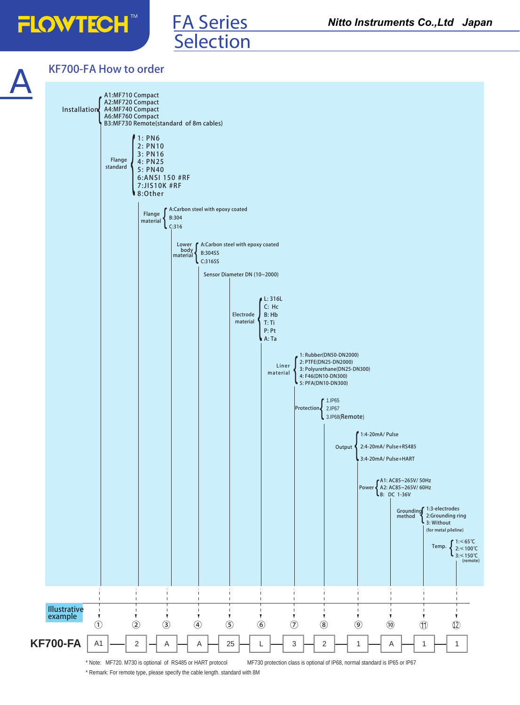**FLOWTECH** 



#### KF700-FA How to order

**Selection** 

FA Series



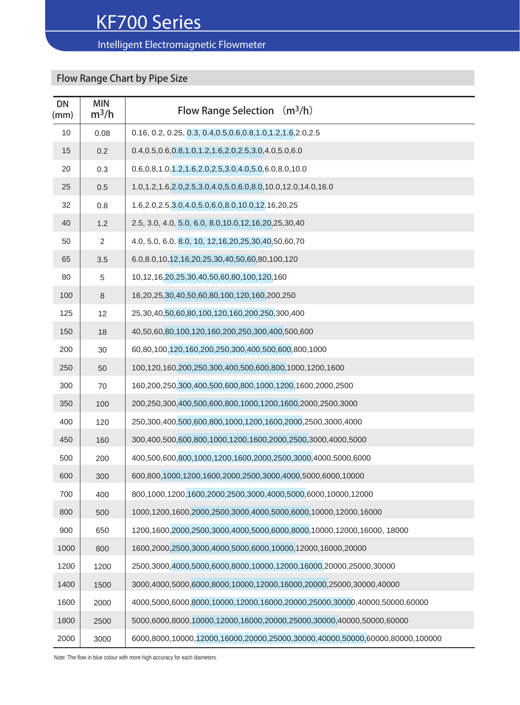#### Intelligent Electromagnetic Flowmeter

### Flow Range Chart by Pipe Size

| <b>DN</b><br>(mm) | <b>MIN</b><br>$m^3/h$ | Flow Range Selection $(m^3/h)$                                               |
|-------------------|-----------------------|------------------------------------------------------------------------------|
| 10                | 0.08                  | 0.16, 0.2, 0.25, 0.3, 0.4, 0.5, 0.6, 0.8, 1.0, 1.2, 1.6, 2.0, 2.5            |
| 15                | 0.2                   | 0.4, 0.5, 0.6, 0.8, 1.0, 1.2, 1.6, 2.0, 2.5, 3.0, 4.0, 5.0, 6.0              |
| 20                | 0.3                   | 0.6, 0.8, 1.0, 1.2, 1.6, 2.0, 2.5, 3.0, 4.0, 5.0, 6.0, 8.0, 10.0             |
| 25                | 0.5                   | 1.0,1.2,1.6,2.0,2.5,3.0,4.0,5.0,6.0,8.0,10.0,12.0,14.0,16.0                  |
| 32                | 0.8                   | 1.6, 2.0, 2.5, 3.0, 4.0, 5.0, 6.0, 8.0, 10.0, 12.16, 20, 25                  |
| 40                | 1.2                   | 2.5, 3.0, 4.0, 5.0, 6.0, 8.0, 10.0, 12, 16, 20, 25, 30, 40                   |
| 50                | $\overline{2}$        | 4.0, 5.0, 6.0, 8.0, 10, 12, 16, 20, 25, 30, 40, 50, 60, 70                   |
| 65                | 3.5                   | 6.0,8.0,10,12,16,20,25,30,40,50,60,80,100,120                                |
| 80                | 5                     | 10,12,16,20,25,30,40,50,60,80,100,120,160                                    |
| 100               | $\,8\,$               | 16,20,25,30,40,50,60,80,100,120,160,200,250                                  |
| 125               | 12                    | 25,30,40,50,60,80,100,120,160,200,250,300,400                                |
| 150               | 18                    | 40,50,60,80,100,120,160,200,250,300,400,500,600                              |
| 200               | 30                    | 60,80,100,120,160,200,250,300,400,500,600,800,1000                           |
| 250               | 50                    | 100,120,160,200,250,300,400,500,600,800,1000,1200,1600                       |
| 300               | 70                    | 160,200,250,300,400,500,600,800,1000,1200,1600,2000,2500                     |
| 350               | 100                   | 200,250,300,400,500,600,800,1000,1200,1600,2000,2500,3000                    |
| 400               | 120                   | 250,300,400,500,600,800,1000,1200,1600,2000,2500,3000,4000                   |
| 450               | 160                   | 300,400,500,600,800,1000,1200,1600,2000,2500,3000,4000,5000                  |
| 500               | 200                   | 400,500,600,800,1000,1200,1600,2000,2500,3000,4000,5000,6000                 |
| 600               | 300                   | 600,800,1000,1200,1600,2000,2500,3000,4000,5000,6000,10000                   |
| 700               | 400                   | 800,1000,1200,1600,2000,2500,3000,4000,5000,6000,10000,12000                 |
| 800               | 500                   | 1000,1200,1600,2000,2500,3000,4000,5000,6000,10000,12000,16000               |
| 900               | 650                   | 1200,1600,2000,2500,3000,4000,5000,6000,8000,10000,12000,16000, 18000        |
| 1000              | 800                   | 1600,2000,2500,3000,4000,5000,6000,10000,12000,16000,20000                   |
| 1200              | 1200                  | 2500,3000,4000,5000,6000,8000,10000,12000,16000,20000,25000,30000            |
| 1400              | 1500                  | 3000,4000,5000,6000,8000,10000,12000,16000,20000,25000,30000,40000           |
| 1600              | 2000                  | 4000,5000,6000,8000,10000,12000,16000,20000,25000,30000,40000,50000,60000    |
| 1800              | 2500                  | 5000,6000,8000,10000,12000,16000,20000,25000,30000,40000,50000,60000         |
| 2000              | 3000                  | 6000,8000,10000,12000,16000,20000,25000,30000,40000,50000,60000,80000,100000 |

Note: The flow in blue colour with more high accuracy for each diameters.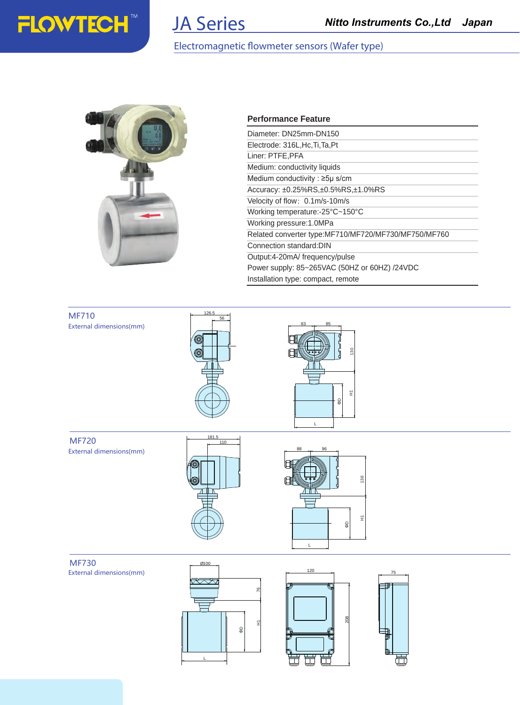

## **JA Series**

#### Electromagnetic flowmeter sensors (Wafer type)



#### **Performance Feature**

| Diameter: DN25mm-DN150                               |
|------------------------------------------------------|
| Electrode: 316L, Hc, Ti, Ta, Pt                      |
| Liner: PTFE, PFA                                     |
| Medium: conductivity liquids                         |
| Medium conductivity: $\geq 5\mu$ s/cm                |
| Accuracy: ±0.25%RS,±0.5%RS,±1.0%RS                   |
| Velocity of flow: 0.1m/s-10m/s                       |
| Working temperature:-25°C~150°C                      |
| Working pressure: 1.0MPa                             |
| Related converter type:MF710/MF720/MF730/MF750/MF760 |
| Connection standard: DIN                             |
| Output:4-20mA/frequency/pulse                        |
| Power supply: 85~265VAC (50HZ or 60HZ) /24VDC        |
| Installation type: compact, remote                   |

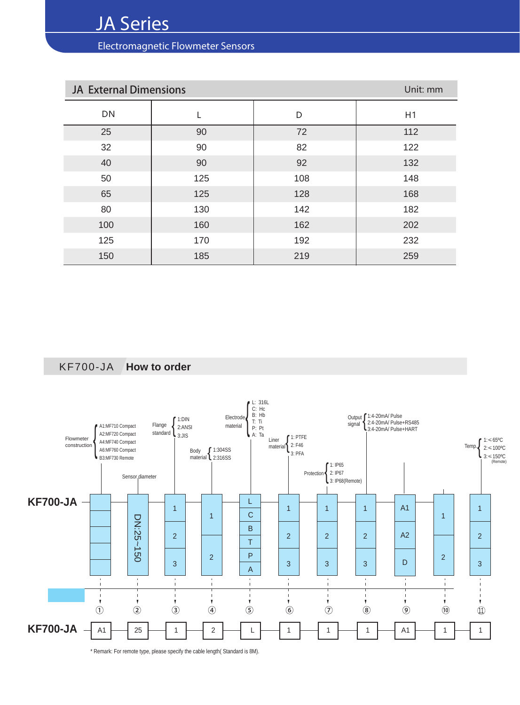Electromagnetic Flowmeter Sensors

| <b>JA External Dimensions</b> | Unit: mm |     |     |
|-------------------------------|----------|-----|-----|
| DN                            |          | D   | H1  |
| 25                            | 90       | 72  | 112 |
| 32                            | 90       | 82  | 122 |
| 40                            | 90       | 92  | 132 |
| 50                            | 125      | 108 | 148 |
| 65                            | 125      | 128 | 168 |
| 80                            | 130      | 142 | 182 |
| 100                           | 160      | 162 | 202 |
| 125                           | 170      | 192 | 232 |
| 150                           | 185      | 219 | 259 |

KF700-JA **How to order**



\* Remark: For remote type, please specify the cable length( Standard is 8M).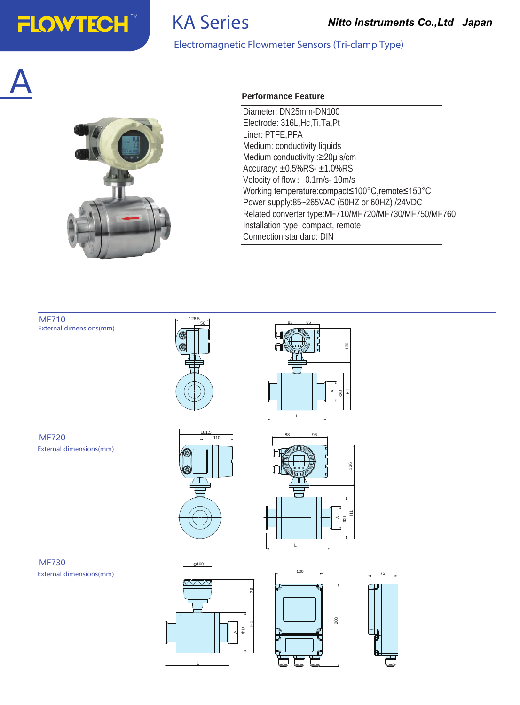

## KA Series

#### Electromagnetic Flowmeter Sensors (Tri-clamp Type)

# A



#### **Performance Feature**

Diameter: DN25mm-DN100 Electrode: 316L,Hc,Ti,Ta,Pt Liner: PTFE,PFA Medium: conductivity liquids Medium conductivity :≥20μ s/cm Accuracy: ±0.5%RS- ±1.0%RS Velocity of flow: 0.1m/s- 10m/s Working temperature:compact≤100°C,remote≤150°C Power supply:85~265VAC (50HZ or 60HZ) /24VDC Related converter type:MF710/MF720/MF730/MF750/MF760 Installation type: compact, remote Connection standard: DIN

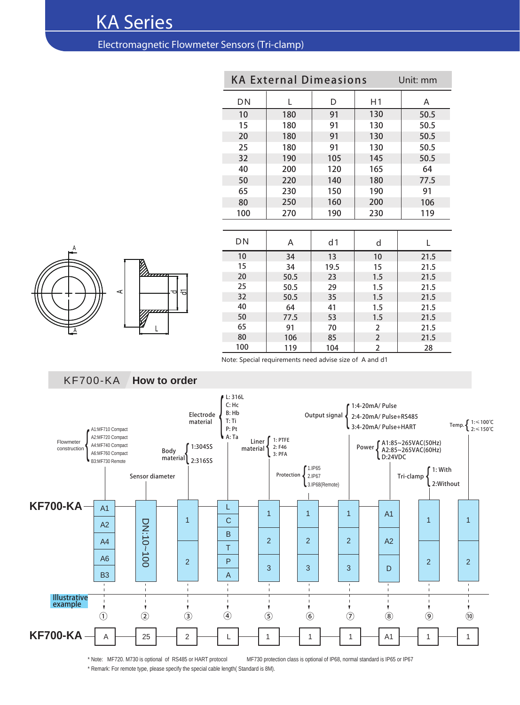## KA Series

#### Electromagnetic Flowmeter Sensors (Tri-clamp)

| <b>KA External Dimeasions</b><br>Unit: mm |      |      |                |      |  |  |  |  |
|-------------------------------------------|------|------|----------------|------|--|--|--|--|
| <b>DN</b>                                 | L    | D    | H1             | A    |  |  |  |  |
| 10                                        | 180  | 91   | 130            | 50.5 |  |  |  |  |
| 15                                        | 180  | 91   | 130            | 50.5 |  |  |  |  |
| 20                                        | 180  | 91   | 130            | 50.5 |  |  |  |  |
| 25                                        | 180  | 91   | 130            | 50.5 |  |  |  |  |
| 32                                        | 190  | 105  | 145            | 50.5 |  |  |  |  |
| 40                                        | 200  | 120  | 165            | 64   |  |  |  |  |
| 50                                        | 220  | 140  | 180            | 77.5 |  |  |  |  |
| 65                                        | 230  | 150  | 190            | 91   |  |  |  |  |
| 80                                        | 250  | 160  | 200            | 106  |  |  |  |  |
| 100                                       | 270  | 190  | 230            | 119  |  |  |  |  |
|                                           |      |      |                |      |  |  |  |  |
| DN                                        | A    | d1   | d              | L    |  |  |  |  |
| 10                                        | 34   | 13   | 10             | 21.5 |  |  |  |  |
| 15                                        | 34   | 19.5 | 15             | 21.5 |  |  |  |  |
| 20                                        | 50.5 | 23   | 1.5            | 21.5 |  |  |  |  |
| 25                                        | 50.5 | 29   | 1.5            | 21.5 |  |  |  |  |
| 32                                        | 50.5 | 35   | 1.5            | 21.5 |  |  |  |  |
| 40                                        | 64   | 41   | 1.5            | 21.5 |  |  |  |  |
| 50                                        | 77.5 | 53   | 1.5            | 21.5 |  |  |  |  |
| 65                                        | 91   | 70   | 2              | 21.5 |  |  |  |  |
| 80                                        | 106  | 85   | $\overline{2}$ | 21.5 |  |  |  |  |
| 100                                       | 119  | 104  | $\overline{2}$ | 28   |  |  |  |  |





Note: Special requirements need advise size of A and d1



\* Note: MF720. M730 is optional of RS485 or HART protocol MF730 protection class is optional of IP68, normal standard is IP65 or IP67 \* Remark: For remote type, please specify the special cable length( Standard is 8M).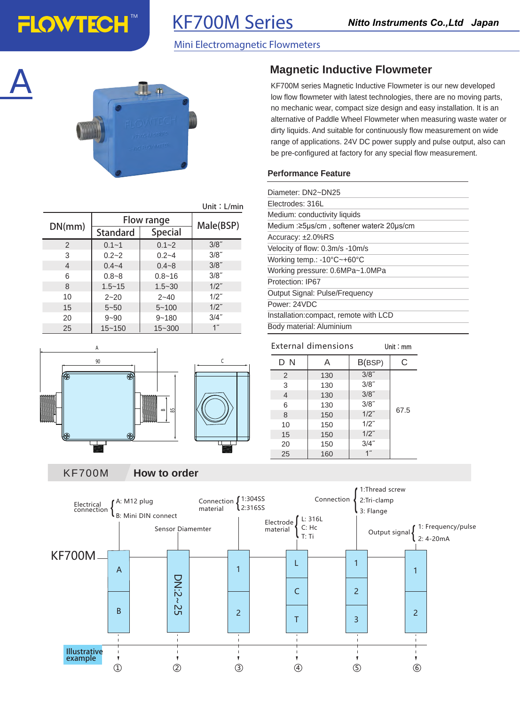## KF700M Series

#### Mini Electromagnetic Flowmeters





|               | Unit: $L/min$   |                |                 |
|---------------|-----------------|----------------|-----------------|
|               | Flow range      | Male(BSP)      |                 |
| DN(mm)        | <b>Standard</b> | <b>Special</b> |                 |
| $\mathcal{P}$ | $0.1 - 1$       | $0.1 - 2$      | $3/8$ "         |
| 3             | $0.2 - 2$       | $0.2 - 4$      | 3/8"            |
| 4             | $0.4 - 4$       | $0.4 - 8$      | 3/8"            |
| 6             | $0.8 - 8$       | $0.8 - 16$     | 3/8"            |
| 8             | $1.5 - 15$      | $1.5 - 30$     | $1/2$ "         |
| 10            | $2 - 20$        | $2 - 40$       | $1/2$ "         |
| 15            | $5 - 50$        | $5 - 100$      | $1/2$ "         |
| 20            | $9 - 90$        | $9 - 180$      | $3/4$ "         |
| 25            | $15 - 150$      | $15 - 300$     | 1 <sup>''</sup> |

## A 90  $\epsilon$ क జ  $\Omega$

#### **Magnetic Inductive Flowmeter**

KF700M series Magnetic Inductive Flowmeter is our new developed low flow flowmeter with latest technologies, there are no moving parts, no mechanic wear, compact size design and easy installation. It is an alternative of Paddle Wheel Flowmeter when measuring waste water or dirty liquids. And suitable for continuously flow measurement on wide range of applications. 24V DC power supply and pulse output, also can be pre-configured at factory for any special flow measurement.

#### **Performance Feature**

| Diameter: DN2~DN25                              |
|-------------------------------------------------|
| Electrodes: 316L                                |
| Medium: conductivity liquids                    |
| Medium : ≥5µs/cm, softener water ≥ 20µs/cm      |
| Accuracy: ±2.0%RS                               |
| Velocity of flow: 0.3m/s -10m/s                 |
| Working temp.: $-10^{\circ}$ C $-+60^{\circ}$ C |
| Working pressure: 0.6MPa~1.0MPa                 |
| Protection: IP67                                |
| Output Signal: Pulse/Frequency                  |
| Power: 24VDC                                    |
| Installation: compact, remote with LCD          |
| Body material: Aluminium                        |

| External dimensions |     | Unit: mm        |      |
|---------------------|-----|-----------------|------|
| DΝ                  | Α   | B(BSP)          | C    |
| 2                   | 130 | $3/8$ "         |      |
| 3                   | 130 | $3/8$ "         |      |
| $\overline{4}$      | 130 | $3/8$ "         |      |
| 6                   | 130 | 3/8"            |      |
| 8                   | 150 | $1/2$ "         | 67.5 |
| 10                  | 150 | $1/2$ "         |      |
| 15                  | 150 | $1/2$ "         |      |
| 20                  | 150 | $3/4$ "         |      |
| 25                  | 160 | 1 <sup>''</sup> |      |

KF700M **How to order**